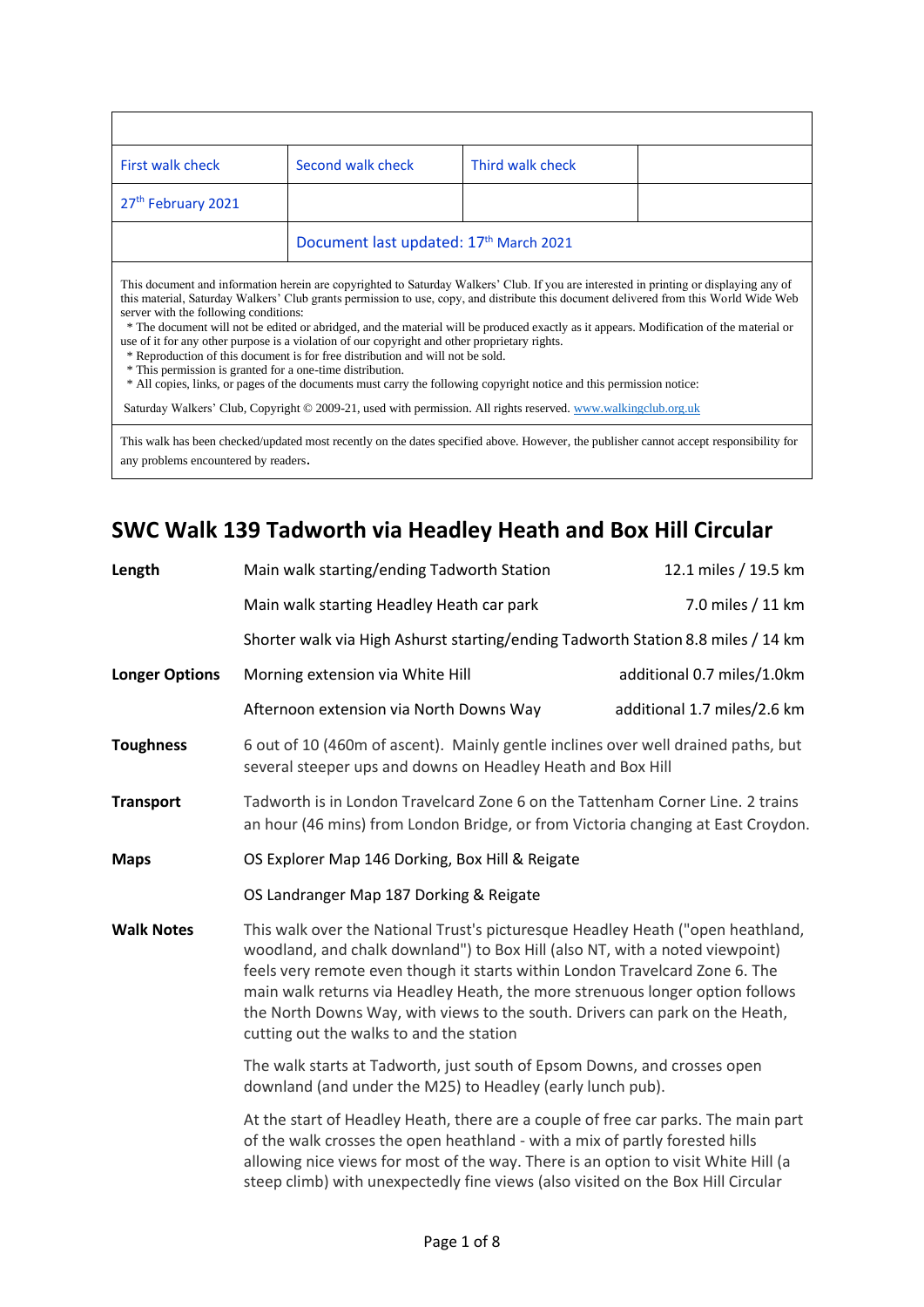| Second walk check                      | Third walk check |  |
|----------------------------------------|------------------|--|
|                                        |                  |  |
| Document last updated: 17th March 2021 |                  |  |
|                                        |                  |  |

This document and information herein are copyrighted to Saturday Walkers' Club. If you are interested in printing or displaying any of this material, Saturday Walkers' Club grants permission to use, copy, and distribute this document delivered from this World Wide Web server with the following conditions:

 \* The document will not be edited or abridged, and the material will be produced exactly as it appears. Modification of the material or use of it for any other purpose is a violation of our copyright and other proprietary rights.

\* Reproduction of this document is for free distribution and will not be sold.

\* This permission is granted for a one-time distribution.

\* All copies, links, or pages of the documents must carry the following copyright notice and this permission notice:

Saturday Walkers' Club, Copyright © 2009-21, used with permission. All rights reserved[. www.walkingclub.org.uk](http://www.walkingclub.org.uk/)

This walk has been checked/updated most recently on the dates specified above. However, the publisher cannot accept responsibility for any problems encountered by readers.

# **SWC Walk 139 Tadworth via Headley Heath and Box Hill Circular**

| Length                | Main walk starting/ending Tadworth Station                                                                                                                                                                                                                                                                                                                                                                                                                   | 12.1 miles / 19.5 km        |  |
|-----------------------|--------------------------------------------------------------------------------------------------------------------------------------------------------------------------------------------------------------------------------------------------------------------------------------------------------------------------------------------------------------------------------------------------------------------------------------------------------------|-----------------------------|--|
|                       | Main walk starting Headley Heath car park                                                                                                                                                                                                                                                                                                                                                                                                                    | 7.0 miles / 11 km           |  |
|                       | Shorter walk via High Ashurst starting/ending Tadworth Station 8.8 miles / 14 km                                                                                                                                                                                                                                                                                                                                                                             |                             |  |
| <b>Longer Options</b> | Morning extension via White Hill                                                                                                                                                                                                                                                                                                                                                                                                                             | additional 0.7 miles/1.0km  |  |
|                       | Afternoon extension via North Downs Way                                                                                                                                                                                                                                                                                                                                                                                                                      | additional 1.7 miles/2.6 km |  |
| <b>Toughness</b>      | 6 out of 10 (460m of ascent). Mainly gentle inclines over well drained paths, but<br>several steeper ups and downs on Headley Heath and Box Hill                                                                                                                                                                                                                                                                                                             |                             |  |
| <b>Transport</b>      | Tadworth is in London Travelcard Zone 6 on the Tattenham Corner Line. 2 trains<br>an hour (46 mins) from London Bridge, or from Victoria changing at East Croydon.                                                                                                                                                                                                                                                                                           |                             |  |
| <b>Maps</b>           | OS Explorer Map 146 Dorking, Box Hill & Reigate                                                                                                                                                                                                                                                                                                                                                                                                              |                             |  |
|                       | OS Landranger Map 187 Dorking & Reigate                                                                                                                                                                                                                                                                                                                                                                                                                      |                             |  |
| <b>Walk Notes</b>     | This walk over the National Trust's picturesque Headley Heath ("open heathland,<br>woodland, and chalk downland") to Box Hill (also NT, with a noted viewpoint)<br>feels very remote even though it starts within London Travelcard Zone 6. The<br>main walk returns via Headley Heath, the more strenuous longer option follows<br>the North Downs Way, with views to the south. Drivers can park on the Heath,<br>cutting out the walks to and the station |                             |  |
|                       | The walk starts at Tadworth, just south of Epsom Downs, and crosses open<br>downland (and under the M25) to Headley (early lunch pub).                                                                                                                                                                                                                                                                                                                       |                             |  |
|                       | At the start of Headley Heath, there are a couple of free car parks. The main part<br>of the walk crosses the open heathland - with a mix of partly forested hills<br>allowing nice views for most of the way. There is an option to visit White Hill (a<br>steep climb) with unexpectedly fine views (also visited on the Box Hill Circular                                                                                                                 |                             |  |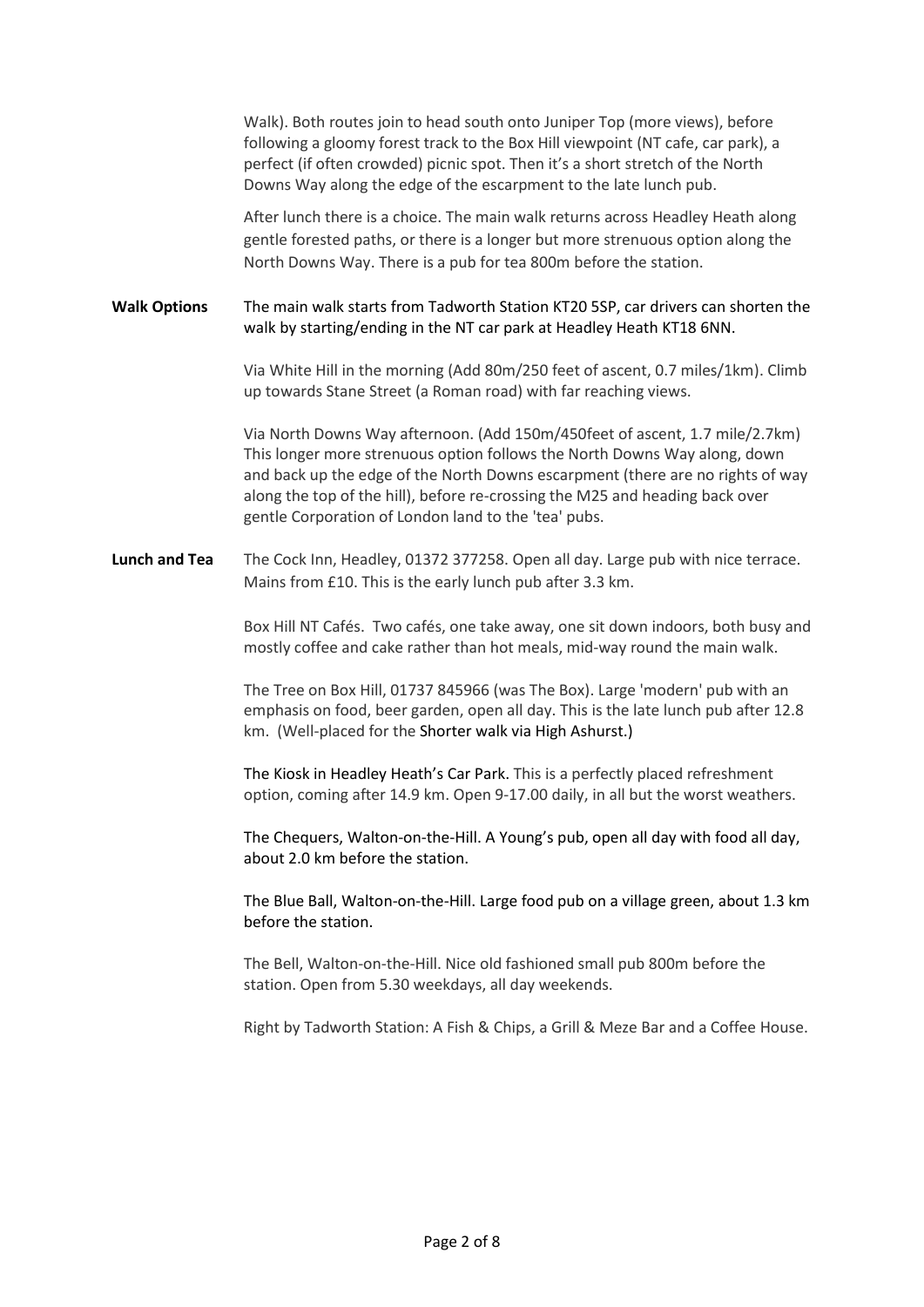|                      | Walk). Both routes join to head south onto Juniper Top (more views), before<br>following a gloomy forest track to the Box Hill viewpoint (NT cafe, car park), a<br>perfect (if often crowded) picnic spot. Then it's a short stretch of the North<br>Downs Way along the edge of the escarpment to the late lunch pub.                                                             |
|----------------------|------------------------------------------------------------------------------------------------------------------------------------------------------------------------------------------------------------------------------------------------------------------------------------------------------------------------------------------------------------------------------------|
|                      | After lunch there is a choice. The main walk returns across Headley Heath along<br>gentle forested paths, or there is a longer but more strenuous option along the<br>North Downs Way. There is a pub for tea 800m before the station.                                                                                                                                             |
| <b>Walk Options</b>  | The main walk starts from Tadworth Station KT20 5SP, car drivers can shorten the<br>walk by starting/ending in the NT car park at Headley Heath KT18 6NN.                                                                                                                                                                                                                          |
|                      | Via White Hill in the morning (Add 80m/250 feet of ascent, 0.7 miles/1km). Climb<br>up towards Stane Street (a Roman road) with far reaching views.                                                                                                                                                                                                                                |
|                      | Via North Downs Way afternoon. (Add 150m/450feet of ascent, 1.7 mile/2.7km)<br>This longer more strenuous option follows the North Downs Way along, down<br>and back up the edge of the North Downs escarpment (there are no rights of way<br>along the top of the hill), before re-crossing the M25 and heading back over<br>gentle Corporation of London land to the 'tea' pubs. |
| <b>Lunch and Tea</b> | The Cock Inn, Headley, 01372 377258. Open all day. Large pub with nice terrace.<br>Mains from £10. This is the early lunch pub after 3.3 km.                                                                                                                                                                                                                                       |
|                      | Box Hill NT Cafés. Two cafés, one take away, one sit down indoors, both busy and<br>mostly coffee and cake rather than hot meals, mid-way round the main walk.                                                                                                                                                                                                                     |
|                      | The Tree on Box Hill, 01737 845966 (was The Box). Large 'modern' pub with an<br>emphasis on food, beer garden, open all day. This is the late lunch pub after 12.8<br>km. (Well-placed for the Shorter walk via High Ashurst.)                                                                                                                                                     |
|                      | The Kiosk in Headley Heath's Car Park. This is a perfectly placed refreshment<br>option, coming after 14.9 km. Open 9-17.00 daily, in all but the worst weathers.                                                                                                                                                                                                                  |
|                      | The Chequers, Walton-on-the-Hill. A Young's pub, open all day with food all day,<br>about 2.0 km before the station.                                                                                                                                                                                                                                                               |
|                      | The Blue Ball, Walton-on-the-Hill. Large food pub on a village green, about 1.3 km<br>before the station.                                                                                                                                                                                                                                                                          |
|                      | The Bell, Walton-on-the-Hill. Nice old fashioned small pub 800m before the<br>station. Open from 5.30 weekdays, all day weekends.                                                                                                                                                                                                                                                  |
|                      | Right by Tadworth Station: A Fish & Chips, a Grill & Meze Bar and a Coffee House.                                                                                                                                                                                                                                                                                                  |
|                      |                                                                                                                                                                                                                                                                                                                                                                                    |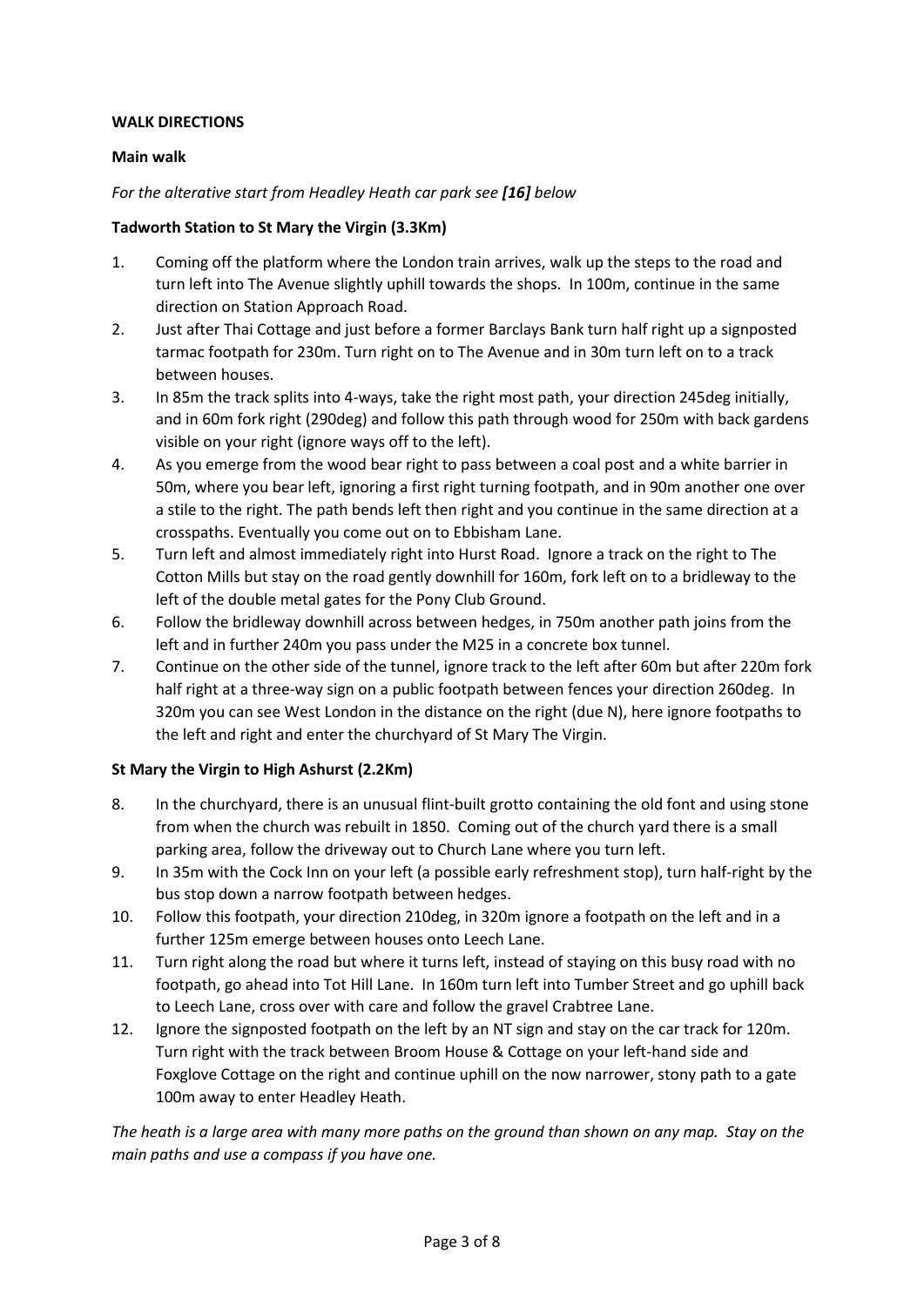## **WALK DIRECTIONS**

## **Main walk**

## *For the alterative start from Headley Heath car park see [16] below*

## **Tadworth Station to St Mary the Virgin (3.3Km)**

- 1. Coming off the platform where the London train arrives, walk up the steps to the road and turn left into The Avenue slightly uphill towards the shops. In 100m, continue in the same direction on Station Approach Road.
- 2. Just after Thai Cottage and just before a former Barclays Bank turn half right up a signposted tarmac footpath for 230m. Turn right on to The Avenue and in 30m turn left on to a track between houses.
- 3. In 85m the track splits into 4-ways, take the right most path, your direction 245deg initially, and in 60m fork right (290deg) and follow this path through wood for 250m with back gardens visible on your right (ignore ways off to the left).
- 4. As you emerge from the wood bear right to pass between a coal post and a white barrier in 50m, where you bear left, ignoring a first right turning footpath, and in 90m another one over a stile to the right. The path bends left then right and you continue in the same direction at a crosspaths. Eventually you come out on to Ebbisham Lane.
- 5. Turn left and almost immediately right into Hurst Road. Ignore a track on the right to The Cotton Mills but stay on the road gently downhill for 160m, fork left on to a bridleway to the left of the double metal gates for the Pony Club Ground.
- 6. Follow the bridleway downhill across between hedges, in 750m another path joins from the left and in further 240m you pass under the M25 in a concrete box tunnel.
- 7. Continue on the other side of the tunnel, ignore track to the left after 60m but after 220m fork half right at a three-way sign on a public footpath between fences your direction 260deg. In 320m you can see West London in the distance on the right (due N), here ignore footpaths to the left and right and enter the churchyard of St Mary The Virgin.

# **St Mary the Virgin to High Ashurst (2.2Km)**

- 8. In the churchyard, there is an unusual flint-built grotto containing the old font and using stone from when the church was rebuilt in 1850. Coming out of the church yard there is a small parking area, follow the driveway out to Church Lane where you turn left.
- 9. In 35m with the Cock Inn on your left (a possible early refreshment stop), turn half-right by the bus stop down a narrow footpath between hedges.
- 10. Follow this footpath, your direction 210deg, in 320m ignore a footpath on the left and in a further 125m emerge between houses onto Leech Lane.
- 11. Turn right along the road but where it turns left, instead of staying on this busy road with no footpath, go ahead into Tot Hill Lane. In 160m turn left into Tumber Street and go uphill back to Leech Lane, cross over with care and follow the gravel Crabtree Lane.
- 12. Ignore the signposted footpath on the left by an NT sign and stay on the car track for 120m. Turn right with the track between Broom House & Cottage on your left-hand side and Foxglove Cottage on the right and continue uphill on the now narrower, stony path to a gate 100m away to enter Headley Heath.

*The heath is a large area with many more paths on the ground than shown on any map. Stay on the main paths and use a compass if you have one.*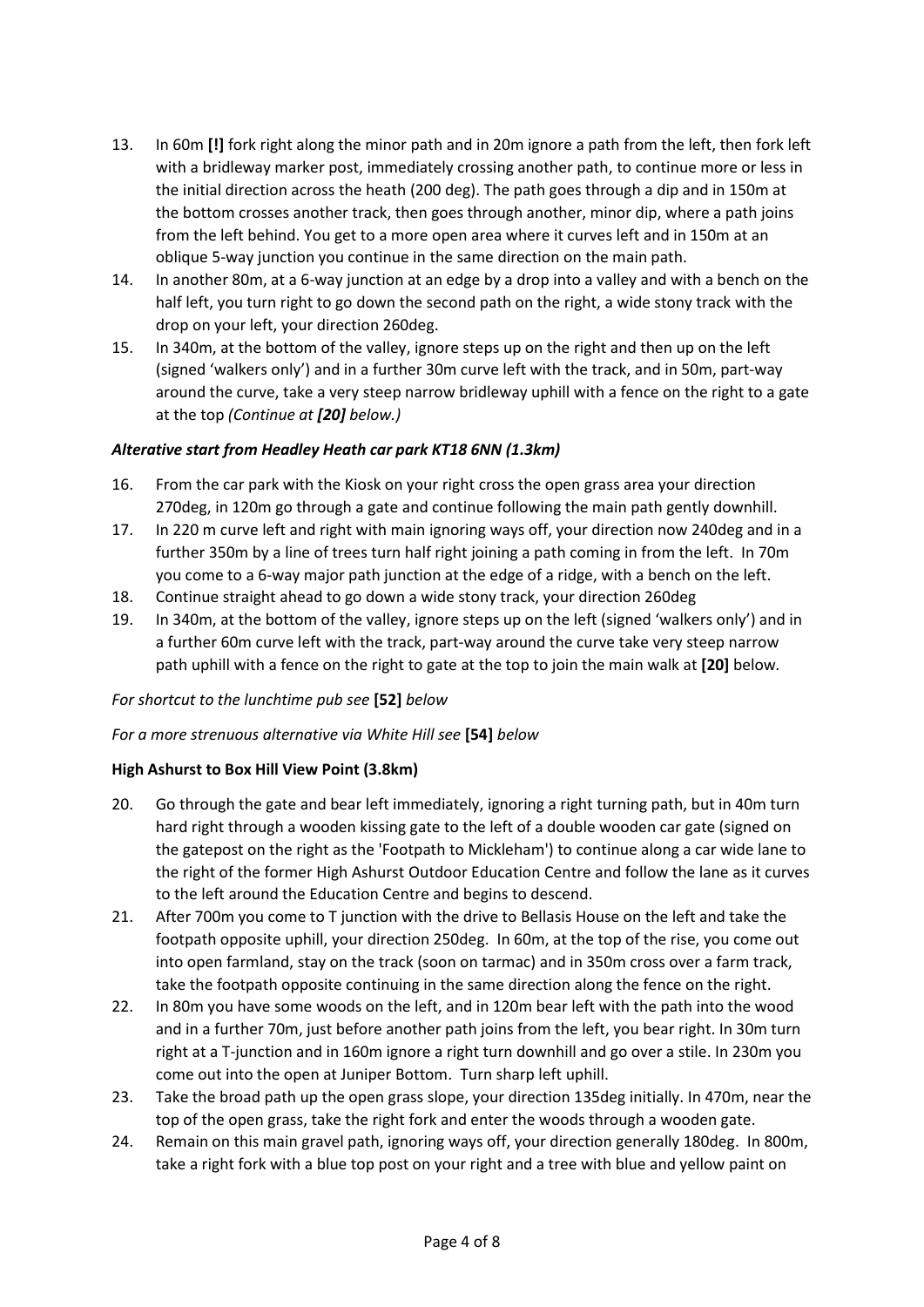- 13. In 60m **[!]** fork right along the minor path and in 20m ignore a path from the left, then fork left with a bridleway marker post, immediately crossing another path, to continue more or less in the initial direction across the heath (200 deg). The path goes through a dip and in 150m at the bottom crosses another track, then goes through another, minor dip, where a path joins from the left behind. You get to a more open area where it curves left and in 150m at an oblique 5-way junction you continue in the same direction on the main path.
- 14. In another 80m, at a 6-way junction at an edge by a drop into a valley and with a bench on the half left, you turn right to go down the second path on the right, a wide stony track with the drop on your left, your direction 260deg.
- 15. In 340m, at the bottom of the valley, ignore steps up on the right and then up on the left (signed 'walkers only') and in a further 30m curve left with the track, and in 50m, part-way around the curve, take a very steep narrow bridleway uphill with a fence on the right to a gate at the top *(Continue at [20] below.)*

# *Alterative start from Headley Heath car park KT18 6NN (1.3km)*

- 16. From the car park with the Kiosk on your right cross the open grass area your direction 270deg, in 120m go through a gate and continue following the main path gently downhill.
- 17. In 220 m curve left and right with main ignoring ways off, your direction now 240deg and in a further 350m by a line of trees turn half right joining a path coming in from the left. In 70m you come to a 6-way major path junction at the edge of a ridge, with a bench on the left.
- 18. Continue straight ahead to go down a wide stony track, your direction 260deg
- 19. In 340m, at the bottom of the valley, ignore steps up on the left (signed 'walkers only') and in a further 60m curve left with the track, part-way around the curve take very steep narrow path uphill with a fence on the right to gate at the top to join the main walk at **[20]** below*.*

### *For shortcut to the lunchtime pub see* **[52]** *below*

### *For a more strenuous alternative via White Hill see* **[54]** *below*

### **High Ashurst to Box Hill View Point (3.8km)**

- 20. Go through the gate and bear left immediately, ignoring a right turning path, but in 40m turn hard right through a wooden kissing gate to the left of a double wooden car gate (signed on the gatepost on the right as the 'Footpath to Mickleham') to continue along a car wide lane to the right of the former High Ashurst Outdoor Education Centre and follow the lane as it curves to the left around the Education Centre and begins to descend.
- 21. After 700m you come to T junction with the drive to Bellasis House on the left and take the footpath opposite uphill, your direction 250deg. In 60m, at the top of the rise, you come out into open farmland, stay on the track (soon on tarmac) and in 350m cross over a farm track, take the footpath opposite continuing in the same direction along the fence on the right.
- 22. In 80m you have some woods on the left, and in 120m bear left with the path into the wood and in a further 70m, just before another path joins from the left, you bear right. In 30m turn right at a T-junction and in 160m ignore a right turn downhill and go over a stile. In 230m you come out into the open at Juniper Bottom. Turn sharp left uphill.
- 23. Take the broad path up the open grass slope, your direction 135deg initially. In 470m, near the top of the open grass, take the right fork and enter the woods through a wooden gate.
- 24. Remain on this main gravel path, ignoring ways off, your direction generally 180deg. In 800m, take a right fork with a blue top post on your right and a tree with blue and yellow paint on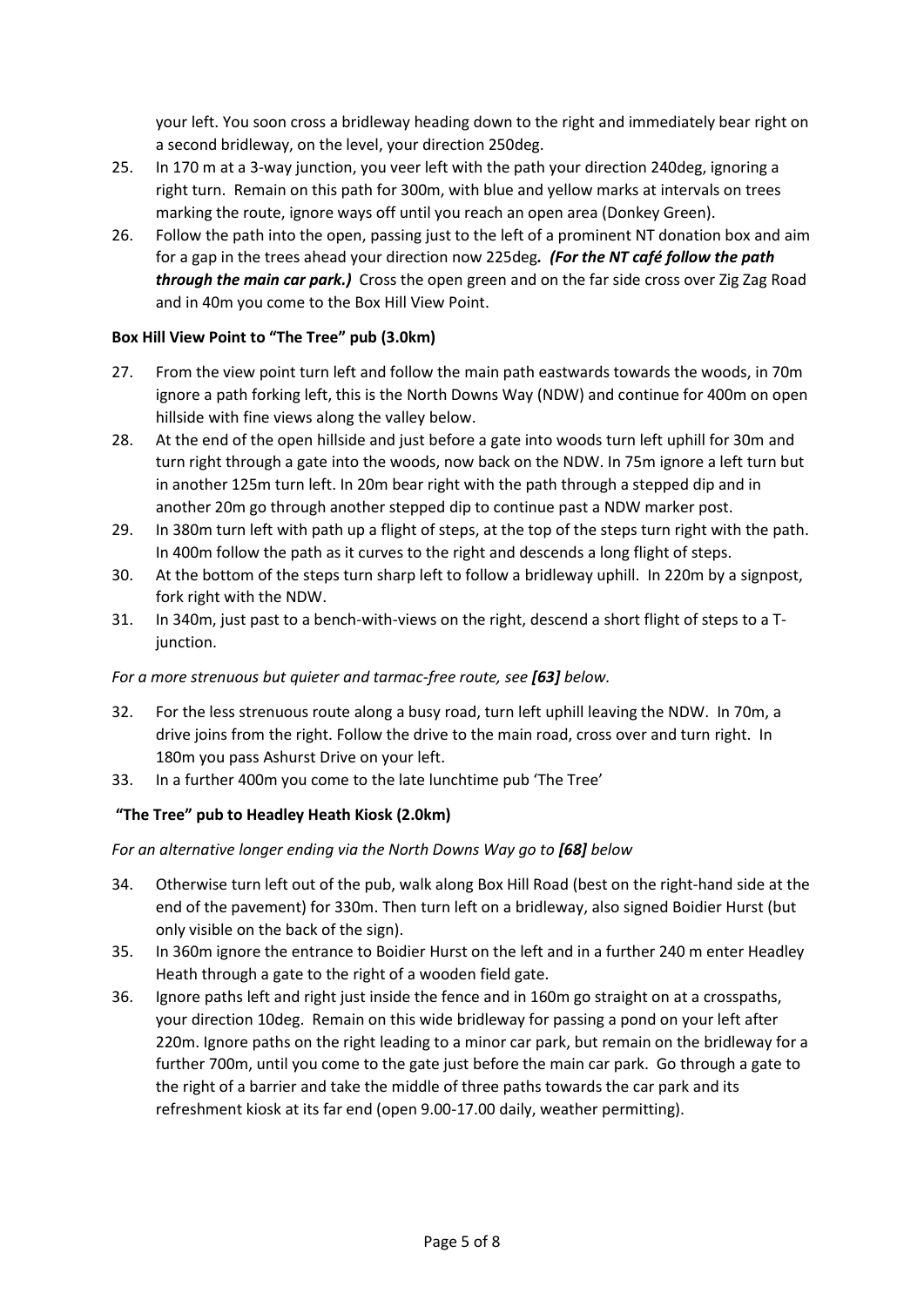your left. You soon cross a bridleway heading down to the right and immediately bear right on a second bridleway, on the level, your direction 250deg.

- 25. In 170 m at a 3-way junction, you veer left with the path your direction 240deg, ignoring a right turn. Remain on this path for 300m, with blue and yellow marks at intervals on trees marking the route, ignore ways off until you reach an open area (Donkey Green).
- 26. Follow the path into the open, passing just to the left of a prominent NT donation box and aim for a gap in the trees ahead your direction now 225deg*. (For the NT café follow the path through the main car park.*) Cross the open green and on the far side cross over Zig Zag Road and in 40m you come to the Box Hill View Point.

## **Box Hill View Point to "The Tree" pub (3.0km)**

- 27. From the view point turn left and follow the main path eastwards towards the woods, in 70m ignore a path forking left, this is the North Downs Way (NDW) and continue for 400m on open hillside with fine views along the valley below.
- 28. At the end of the open hillside and just before a gate into woods turn left uphill for 30m and turn right through a gate into the woods, now back on the NDW. In 75m ignore a left turn but in another 125m turn left. In 20m bear right with the path through a stepped dip and in another 20m go through another stepped dip to continue past a NDW marker post.
- 29. In 380m turn left with path up a flight of steps, at the top of the steps turn right with the path. In 400m follow the path as it curves to the right and descends a long flight of steps.
- 30. At the bottom of the steps turn sharp left to follow a bridleway uphill. In 220m by a signpost, fork right with the NDW.
- 31. In 340m, just past to a bench-with-views on the right, descend a short flight of steps to a Tjunction.

### *For a more strenuous but quieter and tarmac-free route, see [63] below.*

- 32. For the less strenuous route along a busy road, turn left uphill leaving the NDW. In 70m, a drive joins from the right. Follow the drive to the main road, cross over and turn right. In 180m you pass Ashurst Drive on your left.
- 33. In a further 400m you come to the late lunchtime pub 'The Tree'

# **"The Tree" pub to Headley Heath Kiosk (2.0km)**

### *For an alternative longer ending via the North Downs Way go to [68] below*

- 34. Otherwise turn left out of the pub, walk along Box Hill Road (best on the right-hand side at the end of the pavement) for 330m. Then turn left on a bridleway, also signed Boidier Hurst (but only visible on the back of the sign).
- 35. In 360m ignore the entrance to Boidier Hurst on the left and in a further 240 m enter Headley Heath through a gate to the right of a wooden field gate.
- 36. Ignore paths left and right just inside the fence and in 160m go straight on at a crosspaths, your direction 10deg. Remain on this wide bridleway for passing a pond on your left after 220m. Ignore paths on the right leading to a minor car park, but remain on the bridleway for a further 700m, until you come to the gate just before the main car park. Go through a gate to the right of a barrier and take the middle of three paths towards the car park and its refreshment kiosk at its far end (open 9.00-17.00 daily, weather permitting).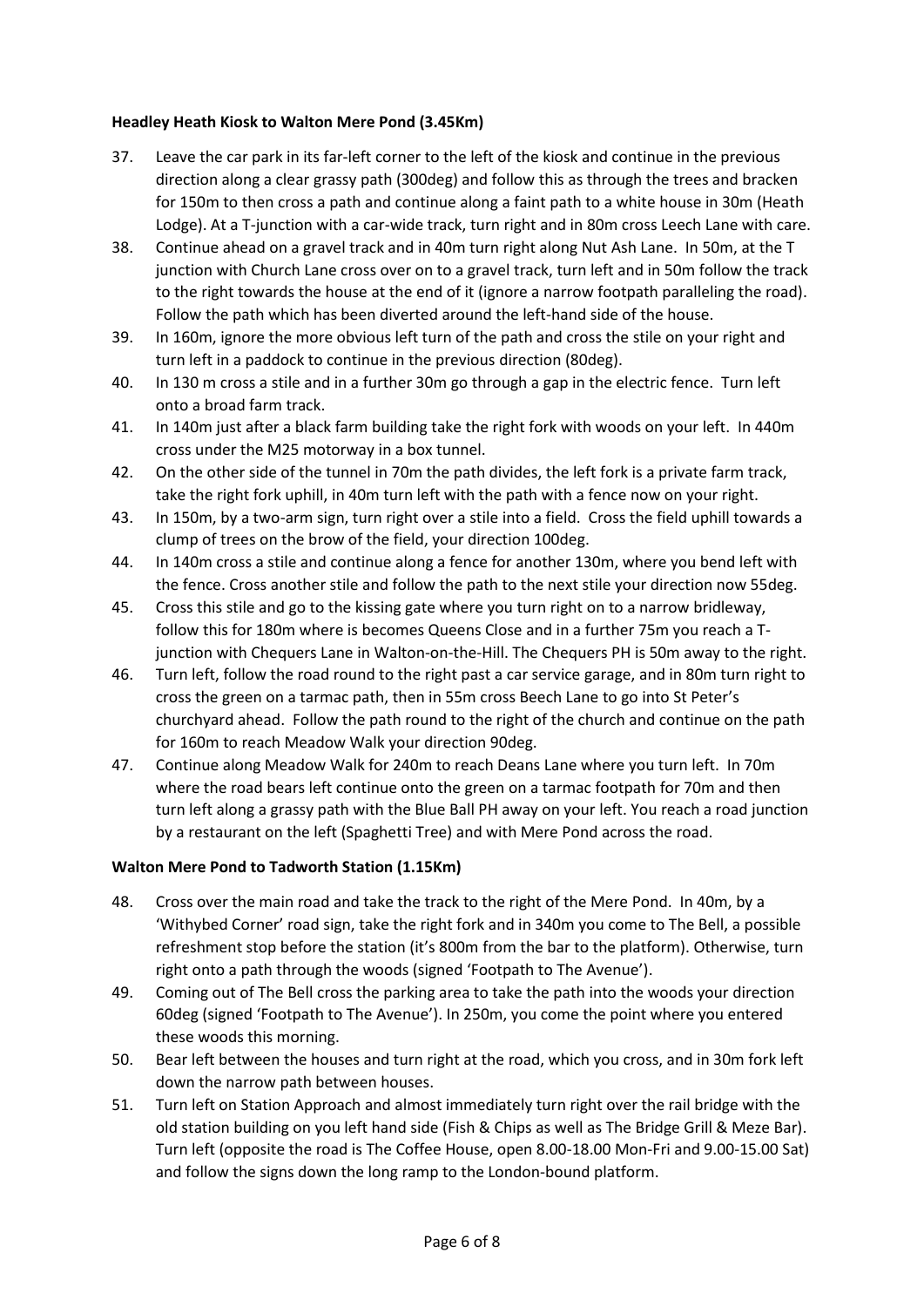# **Headley Heath Kiosk to Walton Mere Pond (3.45Km)**

- 37. Leave the car park in its far-left corner to the left of the kiosk and continue in the previous direction along a clear grassy path (300deg) and follow this as through the trees and bracken for 150m to then cross a path and continue along a faint path to a white house in 30m (Heath Lodge). At a T-junction with a car-wide track, turn right and in 80m cross Leech Lane with care.
- 38. Continue ahead on a gravel track and in 40m turn right along Nut Ash Lane. In 50m, at the T junction with Church Lane cross over on to a gravel track, turn left and in 50m follow the track to the right towards the house at the end of it (ignore a narrow footpath paralleling the road). Follow the path which has been diverted around the left-hand side of the house.
- 39. In 160m, ignore the more obvious left turn of the path and cross the stile on your right and turn left in a paddock to continue in the previous direction (80deg).
- 40. In 130 m cross a stile and in a further 30m go through a gap in the electric fence. Turn left onto a broad farm track.
- 41. In 140m just after a black farm building take the right fork with woods on your left. In 440m cross under the M25 motorway in a box tunnel.
- 42. On the other side of the tunnel in 70m the path divides, the left fork is a private farm track, take the right fork uphill, in 40m turn left with the path with a fence now on your right.
- 43. In 150m, by a two-arm sign, turn right over a stile into a field. Cross the field uphill towards a clump of trees on the brow of the field, your direction 100deg.
- 44. In 140m cross a stile and continue along a fence for another 130m, where you bend left with the fence. Cross another stile and follow the path to the next stile your direction now 55deg.
- 45. Cross this stile and go to the kissing gate where you turn right on to a narrow bridleway, follow this for 180m where is becomes Queens Close and in a further 75m you reach a Tjunction with Chequers Lane in Walton-on-the-Hill. The Chequers PH is 50m away to the right.
- 46. Turn left, follow the road round to the right past a car service garage, and in 80m turn right to cross the green on a tarmac path, then in 55m cross Beech Lane to go into St Peter's churchyard ahead. Follow the path round to the right of the church and continue on the path for 160m to reach Meadow Walk your direction 90deg.
- 47. Continue along Meadow Walk for 240m to reach Deans Lane where you turn left. In 70m where the road bears left continue onto the green on a tarmac footpath for 70m and then turn left along a grassy path with the Blue Ball PH away on your left. You reach a road junction by a restaurant on the left (Spaghetti Tree) and with Mere Pond across the road.

# **Walton Mere Pond to Tadworth Station (1.15Km)**

- 48. Cross over the main road and take the track to the right of the Mere Pond. In 40m, by a 'Withybed Corner' road sign, take the right fork and in 340m you come to The Bell, a possible refreshment stop before the station (it's 800m from the bar to the platform). Otherwise, turn right onto a path through the woods (signed 'Footpath to The Avenue').
- 49. Coming out of The Bell cross the parking area to take the path into the woods your direction 60deg (signed 'Footpath to The Avenue'). In 250m, you come the point where you entered these woods this morning.
- 50. Bear left between the houses and turn right at the road, which you cross, and in 30m fork left down the narrow path between houses.
- 51. Turn left on Station Approach and almost immediately turn right over the rail bridge with the old station building on you left hand side (Fish & Chips as well as The Bridge Grill & Meze Bar). Turn left (opposite the road is The Coffee House, open 8.00-18.00 Mon-Fri and 9.00-15.00 Sat) and follow the signs down the long ramp to the London-bound platform.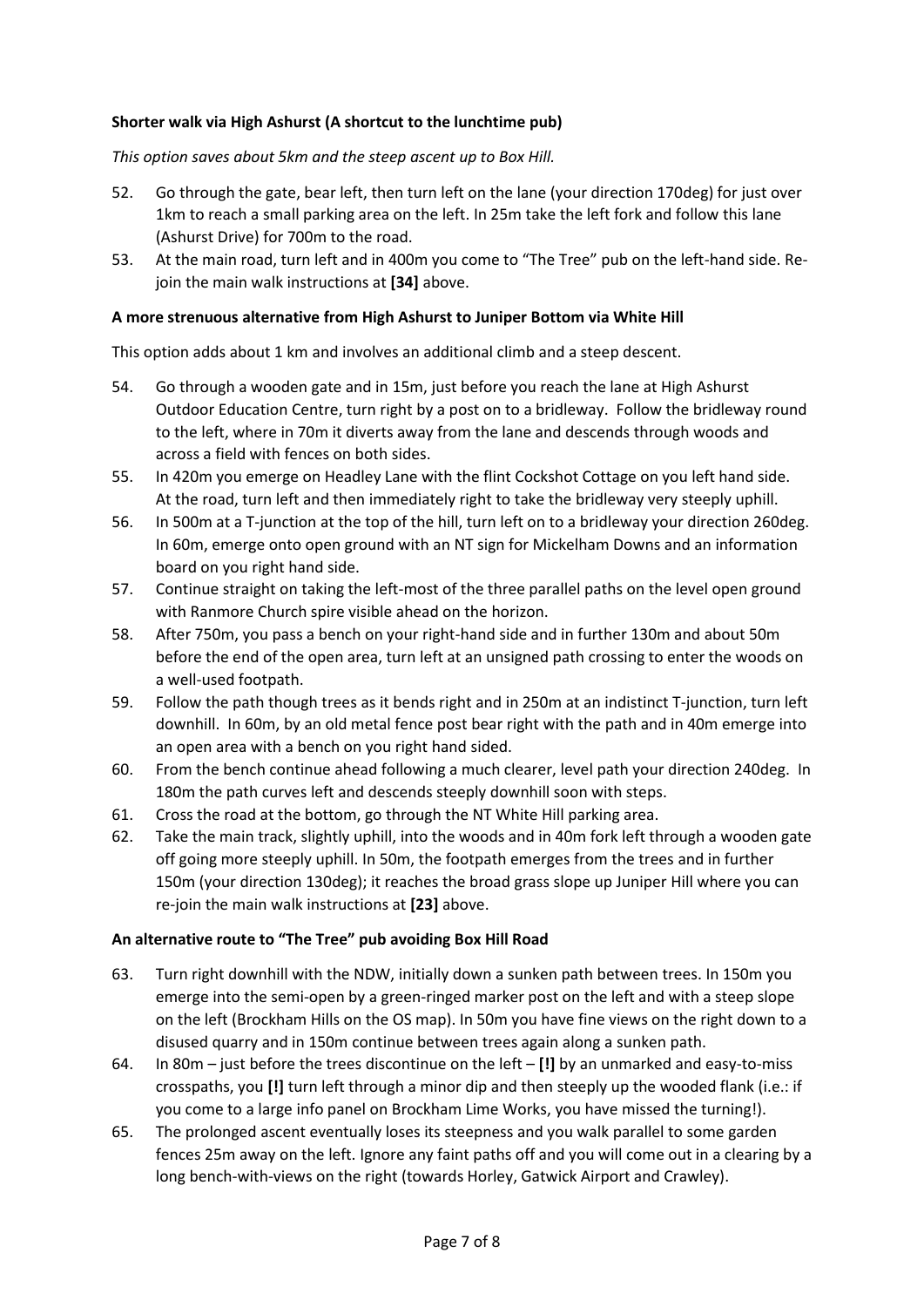# **Shorter walk via High Ashurst (A shortcut to the lunchtime pub)**

*This option saves about 5km and the steep ascent up to Box Hill.* 

- 52. Go through the gate, bear left, then turn left on the lane (your direction 170deg) for just over 1km to reach a small parking area on the left. In 25m take the left fork and follow this lane (Ashurst Drive) for 700m to the road.
- 53. At the main road, turn left and in 400m you come to "The Tree" pub on the left-hand side. Rejoin the main walk instructions at **[34]** above.

## **A more strenuous alternative from High Ashurst to Juniper Bottom via White Hill**

This option adds about 1 km and involves an additional climb and a steep descent.

- 54. Go through a wooden gate and in 15m, just before you reach the lane at High Ashurst Outdoor Education Centre, turn right by a post on to a bridleway. Follow the bridleway round to the left, where in 70m it diverts away from the lane and descends through woods and across a field with fences on both sides.
- 55. In 420m you emerge on Headley Lane with the flint Cockshot Cottage on you left hand side. At the road, turn left and then immediately right to take the bridleway very steeply uphill.
- 56. In 500m at a T-junction at the top of the hill, turn left on to a bridleway your direction 260deg. In 60m, emerge onto open ground with an NT sign for Mickelham Downs and an information board on you right hand side.
- 57. Continue straight on taking the left-most of the three parallel paths on the level open ground with Ranmore Church spire visible ahead on the horizon.
- 58. After 750m, you pass a bench on your right-hand side and in further 130m and about 50m before the end of the open area, turn left at an unsigned path crossing to enter the woods on a well-used footpath.
- 59. Follow the path though trees as it bends right and in 250m at an indistinct T-junction, turn left downhill. In 60m, by an old metal fence post bear right with the path and in 40m emerge into an open area with a bench on you right hand sided.
- 60. From the bench continue ahead following a much clearer, level path your direction 240deg. In 180m the path curves left and descends steeply downhill soon with steps.
- 61. Cross the road at the bottom, go through the NT White Hill parking area.
- 62. Take the main track, slightly uphill, into the woods and in 40m fork left through a wooden gate off going more steeply uphill. In 50m, the footpath emerges from the trees and in further 150m (your direction 130deg); it reaches the broad grass slope up Juniper Hill where you can re-join the main walk instructions at **[23]** above.

## **An alternative route to "The Tree" pub avoiding Box Hill Road**

- 63. Turn right downhill with the NDW, initially down a sunken path between trees. In 150m you emerge into the semi-open by a green-ringed marker post on the left and with a steep slope on the left (Brockham Hills on the OS map). In 50m you have fine views on the right down to a disused quarry and in 150m continue between trees again along a sunken path.
- 64. In 80m just before the trees discontinue on the left **[!]** by an unmarked and easy-to-miss crosspaths, you **[!]** turn left through a minor dip and then steeply up the wooded flank (i.e.: if you come to a large info panel on Brockham Lime Works, you have missed the turning!).
- 65. The prolonged ascent eventually loses its steepness and you walk parallel to some garden fences 25m away on the left. Ignore any faint paths off and you will come out in a clearing by a long bench-with-views on the right (towards Horley, Gatwick Airport and Crawley).